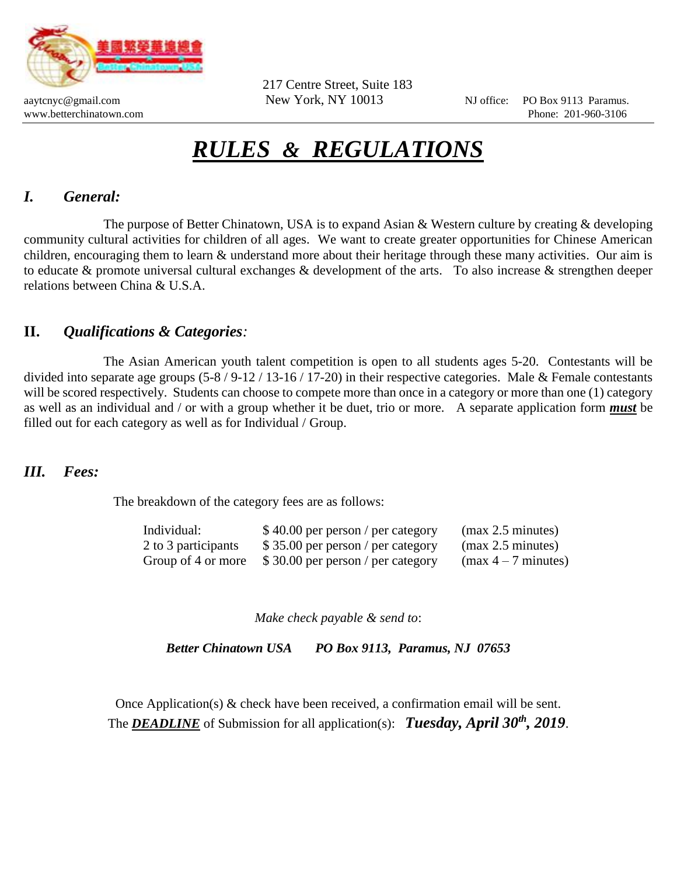

217 Centre Street, Suite 183

aaytcnyc@gmail.com New York, NY 10013 NJ office: PO Box 9113 Paramus. www.betterchinatown.com **Phone:** 201-960-3106

# *RULES & REGULATIONS*

## *I. General:*

The purpose of Better Chinatown, USA is to expand Asian & Western culture by creating & developing community cultural activities for children of all ages. We want to create greater opportunities for Chinese American children, encouraging them to learn & understand more about their heritage through these many activities. Our aim is to educate & promote universal cultural exchanges & development of the arts. To also increase & strengthen deeper relations between China & U.S.A.

#### **II.** *Qualifications & Categories:*

The Asian American youth talent competition is open to all students ages 5-20. Contestants will be divided into separate age groups (5-8 / 9-12 / 13-16 / 17-20) in their respective categories. Male & Female contestants will be scored respectively. Students can choose to compete more than once in a category or more than one (1) category as well as an individual and / or with a group whether it be duet, trio or more. A separate application form *must* be filled out for each category as well as for Individual / Group.

#### *III. Fees:*

The breakdown of the category fees are as follows:

| Individual:         | \$40.00 per person / per category | (max 2.5 minutes)     |
|---------------------|-----------------------------------|-----------------------|
| 2 to 3 participants | \$35.00 per person / per category | (max 2.5 minutes)     |
| Group of 4 or more  | \$30.00 per person / per category | $(max 4 - 7 minutes)$ |

*Make check payable & send to*:

*Better Chinatown USA PO Box 9113, Paramus, NJ 07653*

Once Application(s)  $\&$  check have been received, a confirmation email will be sent. The *DEADLINE* of Submission for all application(s): *Tuesday, April 30th, 2019*.